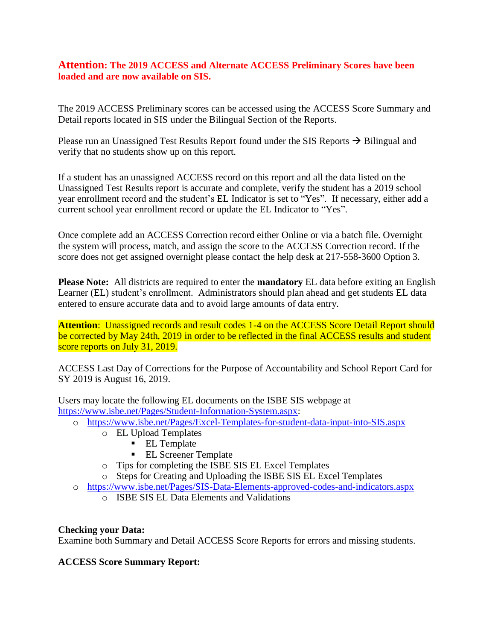## **Attention: The 2019 ACCESS and Alternate ACCESS Preliminary Scores have been loaded and are now available on SIS.**

The 2019 ACCESS Preliminary scores can be accessed using the ACCESS Score Summary and Detail reports located in SIS under the Bilingual Section of the Reports.

Please run an Unassigned Test Results Report found under the SIS Reports  $\rightarrow$  Bilingual and verify that no students show up on this report.

If a student has an unassigned ACCESS record on this report and all the data listed on the Unassigned Test Results report is accurate and complete, verify the student has a 2019 school year enrollment record and the student's EL Indicator is set to "Yes". If necessary, either add a current school year enrollment record or update the EL Indicator to "Yes".

Once complete add an ACCESS Correction record either Online or via a batch file. Overnight the system will process, match, and assign the score to the ACCESS Correction record. If the score does not get assigned overnight please contact the help desk at 217-558-3600 Option 3.

**Please Note:** All districts are required to enter the **mandatory** EL data before exiting an English Learner (EL) student's enrollment. Administrators should plan ahead and get students EL data entered to ensure accurate data and to avoid large amounts of data entry.

**Attention:** Unassigned records and result codes 1-4 on the ACCESS Score Detail Report should be corrected by May 24th, 2019 in order to be reflected in the final ACCESS results and student score reports on July 31, 2019.

ACCESS Last Day of Corrections for the Purpose of Accountability and School Report Card for SY 2019 is August 16, 2019.

Users may locate the following EL documents on the ISBE SIS webpage at [https://www.isbe.net/Pages/Student-Information-System.aspx:](https://www.isbe.net/Pages/Student-Information-System.aspx)

- o <https://www.isbe.net/Pages/Excel-Templates-for-student-data-input-into-SIS.aspx>
	- o EL Upload Templates
		- EL Template
		- EL Screener Template
	- o Tips for completing the ISBE SIS EL Excel Templates
	- o Steps for Creating and Uploading the ISBE SIS EL Excel Templates
- o <https://www.isbe.net/Pages/SIS-Data-Elements-approved-codes-and-indicators.aspx>
	- o ISBE SIS EL Data Elements and Validations

#### **Checking your Data:**

Examine both Summary and Detail ACCESS Score Reports for errors and missing students.

#### **ACCESS Score Summary Report:**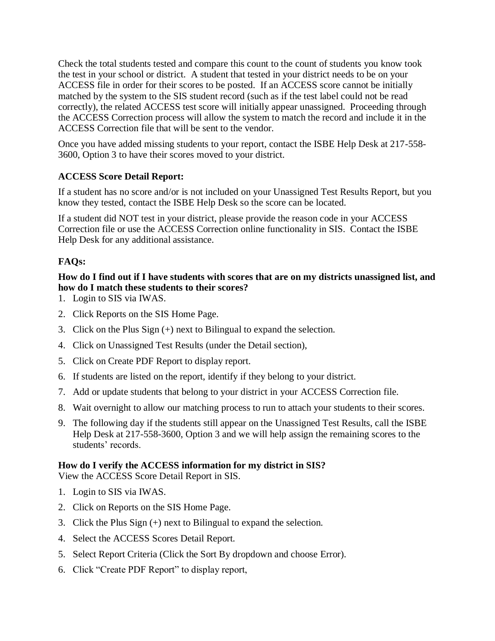Check the total students tested and compare this count to the count of students you know took the test in your school or district. A student that tested in your district needs to be on your ACCESS file in order for their scores to be posted. If an ACCESS score cannot be initially matched by the system to the SIS student record (such as if the test label could not be read correctly), the related ACCESS test score will initially appear unassigned. Proceeding through the ACCESS Correction process will allow the system to match the record and include it in the ACCESS Correction file that will be sent to the vendor.

Once you have added missing students to your report, contact the ISBE Help Desk at 217-558- 3600, Option 3 to have their scores moved to your district.

# **ACCESS Score Detail Report:**

If a student has no score and/or is not included on your Unassigned Test Results Report, but you know they tested, contact the ISBE Help Desk so the score can be located.

If a student did NOT test in your district, please provide the reason code in your ACCESS Correction file or use the ACCESS Correction online functionality in SIS. Contact the ISBE Help Desk for any additional assistance.

# **FAQs:**

## **How do I find out if I have students with scores that are on my districts unassigned list, and how do I match these students to their scores?**

- 1. Login to SIS via IWAS.
- 2. Click Reports on the SIS Home Page.
- 3. Click on the Plus Sign (+) next to Bilingual to expand the selection.
- 4. Click on Unassigned Test Results (under the Detail section),
- 5. Click on Create PDF Report to display report.
- 6. If students are listed on the report, identify if they belong to your district.
- 7. Add or update students that belong to your district in your ACCESS Correction file.
- 8. Wait overnight to allow our matching process to run to attach your students to their scores.
- 9. The following day if the students still appear on the Unassigned Test Results, call the ISBE Help Desk at 217-558-3600, Option 3 and we will help assign the remaining scores to the students' records.

#### **How do I verify the ACCESS information for my district in SIS?**

View the ACCESS Score Detail Report in SIS.

- 1. Login to SIS via IWAS.
- 2. Click on Reports on the SIS Home Page.
- 3. Click the Plus Sign (+) next to Bilingual to expand the selection.
- 4. Select the ACCESS Scores Detail Report.
- 5. Select Report Criteria (Click the Sort By dropdown and choose Error).
- 6. Click "Create PDF Report" to display report,